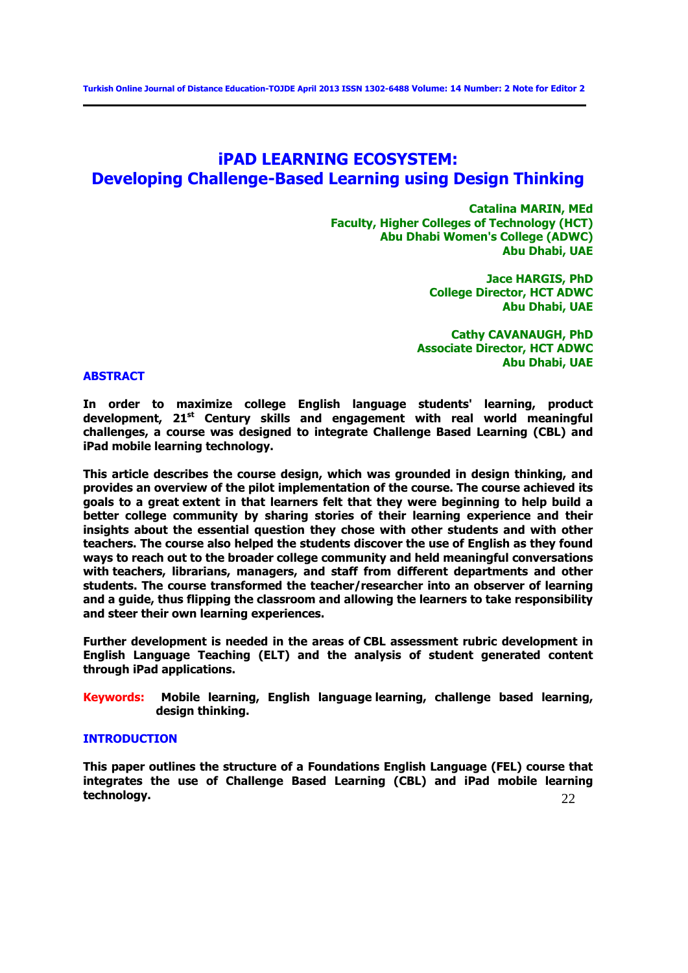# **iPAD LEARNING ECOSYSTEM: Developing Challenge-Based Learning using Design Thinking**

**Catalina MARIN, MEd Faculty, Higher Colleges of Technology (HCT) Abu Dhabi Women's College (ADWC) Abu Dhabi, UAE**

> **Jace HARGIS, PhD College Director, HCT ADWC Abu Dhabi, UAE**

**Cathy CAVANAUGH, PhD Associate Director, HCT ADWC Abu Dhabi, UAE**

# **ABSTRACT**

**In order to maximize college English language students' learning, product development, 21st Century skills and engagement with real world meaningful challenges, a course was designed to integrate Challenge Based Learning (CBL) and iPad mobile learning technology.** 

**This article describes the course design, which was grounded in design thinking, and provides an overview of the pilot implementation of the course. The course achieved its goals to a great extent in that learners felt that they were beginning to help build a better college community by sharing stories of their learning experience and their insights about the essential question they chose with other students and with other teachers. The course also helped the students discover the use of English as they found ways to reach out to the broader college community and held meaningful conversations with teachers, librarians, managers, and staff from different departments and other students. The course transformed the teacher/researcher into an observer of learning and a guide, thus flipping the classroom and allowing the learners to take responsibility and steer their own learning experiences.** 

**Further development is needed in the areas of CBL assessment rubric development in English Language Teaching (ELT) and the analysis of student generated content through iPad applications.**

**Keywords: Mobile learning, English language learning, challenge based learning, design thinking.** 

## **INTRODUCTION**

22 **This paper outlines the structure of a Foundations English Language (FEL) course that integrates the use of Challenge Based Learning (CBL) and iPad mobile learning technology.**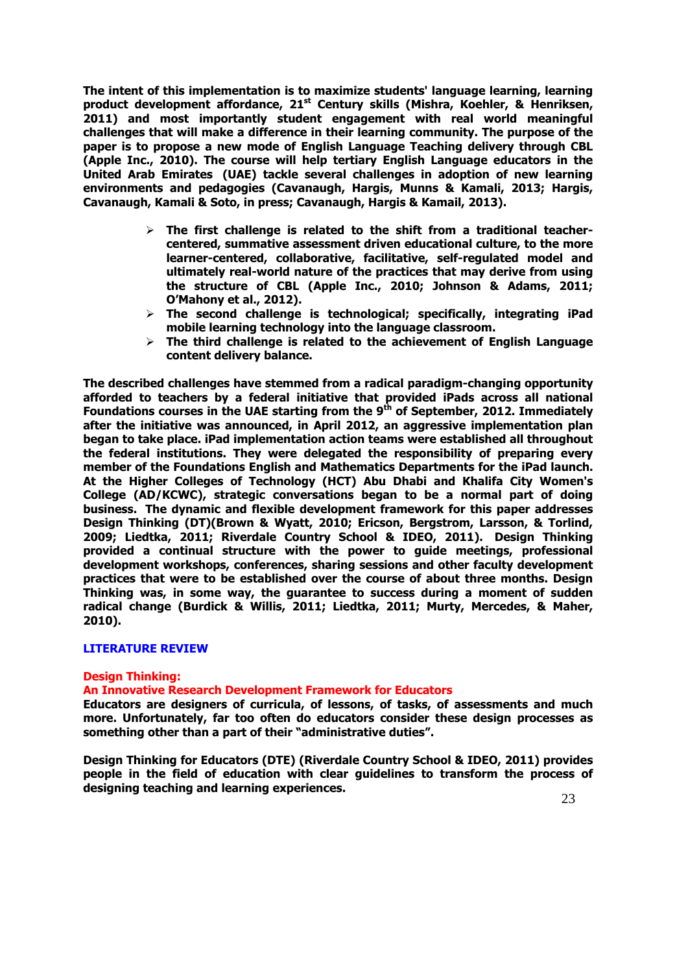**The intent of this implementation is to maximize students' language learning, learning product development affordance, 21st Century skills (Mishra, Koehler, & Henriksen, 2011) and most importantly student engagement with real world meaningful challenges that will make a difference in their learning community. The purpose of the paper is to propose a new mode of English Language Teaching delivery through CBL (Apple Inc., 2010). The course will help tertiary English Language educators in the United Arab Emirates (UAE) tackle several challenges in adoption of new learning environments and pedagogies (Cavanaugh, Hargis, Munns & Kamali, 2013; Hargis, Cavanaugh, Kamali & Soto, in press; Cavanaugh, Hargis & Kamail, 2013).**

- **The first challenge is related to the shift from a traditional teachercentered, summative assessment driven educational culture, to the more learner-centered, collaborative, facilitative, self-regulated model and ultimately real-world nature of the practices that may derive from using the structure of CBL (Apple Inc., 2010; Johnson & Adams, 2011; O'Mahony et al., 2012).**
- **The second challenge is technological; specifically, integrating iPad mobile learning technology into the language classroom.**
- **The third challenge is related to the achievement of English Language content delivery balance.**

**The described challenges have stemmed from a radical paradigm-changing opportunity afforded to teachers by a federal initiative that provided iPads across all national Foundations courses in the UAE starting from the 9th of September, 2012. Immediately after the initiative was announced, in April 2012, an aggressive implementation plan began to take place. iPad implementation action teams were established all throughout the federal institutions. They were delegated the responsibility of preparing every member of the Foundations English and Mathematics Departments for the iPad launch. At the Higher Colleges of Technology (HCT) Abu Dhabi and Khalifa City Women's College (AD/KCWC), strategic conversations began to be a normal part of doing business. The dynamic and flexible development framework for this paper addresses Design Thinking (DT)(Brown & Wyatt, 2010; Ericson, Bergstrom, Larsson, & Torlind, 2009; Liedtka, 2011; Riverdale Country School & IDEO, 2011). Design Thinking provided a continual structure with the power to guide meetings, professional development workshops, conferences, sharing sessions and other faculty development practices that were to be established over the course of about three months. Design Thinking was, in some way, the guarantee to success during a moment of sudden radical change (Burdick & Willis, 2011; Liedtka, 2011; Murty, Mercedes, & Maher, 2010).**

# **LITERATURE REVIEW**

# **Design Thinking:**

# **An Innovative Research Development Framework for Educators**

**Educators are designers of curricula, of lessons, of tasks, of assessments and much more. Unfortunately, far too often do educators consider these design processes as something other than a part of their "administrative duties".** 

**Design Thinking for Educators (DTE) (Riverdale Country School & IDEO, 2011) provides people in the field of education with clear guidelines to transform the process of designing teaching and learning experiences.**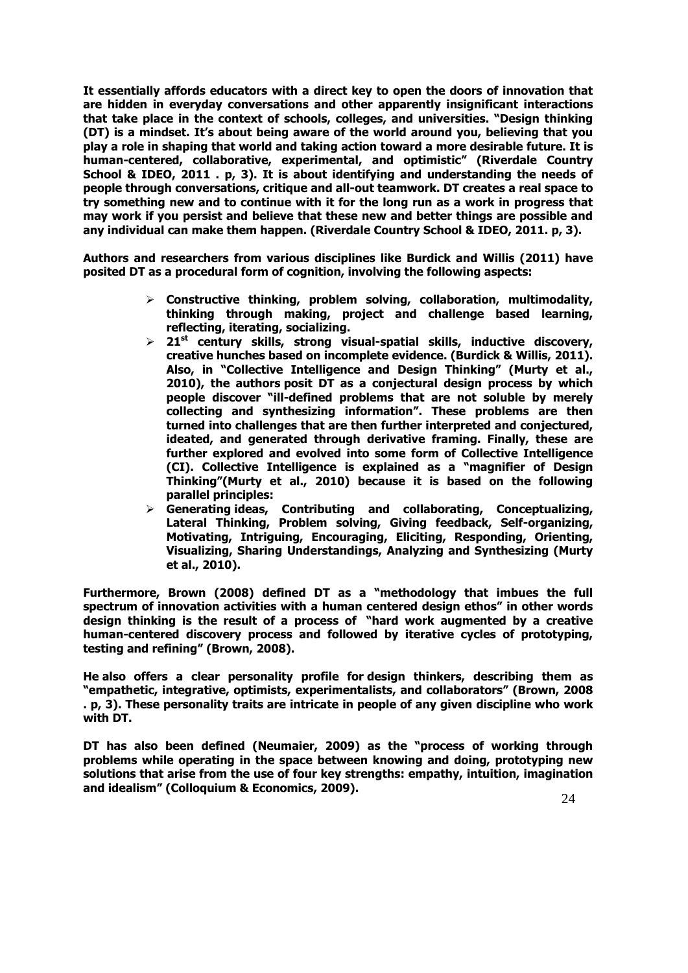**It essentially affords educators with a direct key to open the doors of innovation that are hidden in everyday conversations and other apparently insignificant interactions that take place in the context of schools, colleges, and universities. "Design thinking (DT) is a mindset. It's about being aware of the world around you, believing that you play a role in shaping that world and taking action toward a more desirable future. It is human-centered, collaborative, experimental, and optimistic" (Riverdale Country School & IDEO, 2011 . p, 3). It is about identifying and understanding the needs of people through conversations, critique and all-out teamwork. DT creates a real space to try something new and to continue with it for the long run as a work in progress that may work if you persist and believe that these new and better things are possible and any individual can make them happen. (Riverdale Country School & IDEO, 2011. p, 3).**

**Authors and researchers from various disciplines like Burdick and Willis (2011) have posited DT as a procedural form of cognition, involving the following aspects:**

- **Constructive thinking, problem solving, collaboration, multimodality, thinking through making, project and challenge based learning, reflecting, iterating, socializing.**
- **21st century skills, strong visual-spatial skills, inductive discovery, creative hunches based on incomplete evidence. (Burdick & Willis, 2011). Also, in "Collective Intelligence and Design Thinking" (Murty et al., 2010), the authors posit DT as a conjectural design process by which people discover "ill-defined problems that are not soluble by merely collecting and synthesizing information". These problems are then turned into challenges that are then further interpreted and conjectured, ideated, and generated through derivative framing. Finally, these are further explored and evolved into some form of Collective Intelligence (CI). Collective Intelligence is explained as a "magnifier of Design Thinking"(Murty et al., 2010) because it is based on the following parallel principles:**
- **Generating ideas, Contributing and collaborating, Conceptualizing, Lateral Thinking, Problem solving, Giving feedback, Self-organizing, Motivating, Intriguing, Encouraging, Eliciting, Responding, Orienting, Visualizing, Sharing Understandings, Analyzing and Synthesizing (Murty et al., 2010).**

**Furthermore, Brown (2008) defined DT as a "methodology that imbues the full spectrum of innovation activities with a human centered design ethos" in other words design thinking is the result of a process of "hard work augmented by a creative human-centered discovery process and followed by iterative cycles of prototyping, testing and refining" (Brown, 2008).** 

**He also offers a clear personality profile for design thinkers, describing them as "empathetic, integrative, optimists, experimentalists, and collaborators" (Brown, 2008 . p, 3). These personality traits are intricate in people of any given discipline who work with DT.** 

**DT has also been defined (Neumaier, 2009) as the "process of working through problems while operating in the space between knowing and doing, prototyping new solutions that arise from the use of four key strengths: empathy, intuition, imagination and idealism" (Colloquium & Economics, 2009).**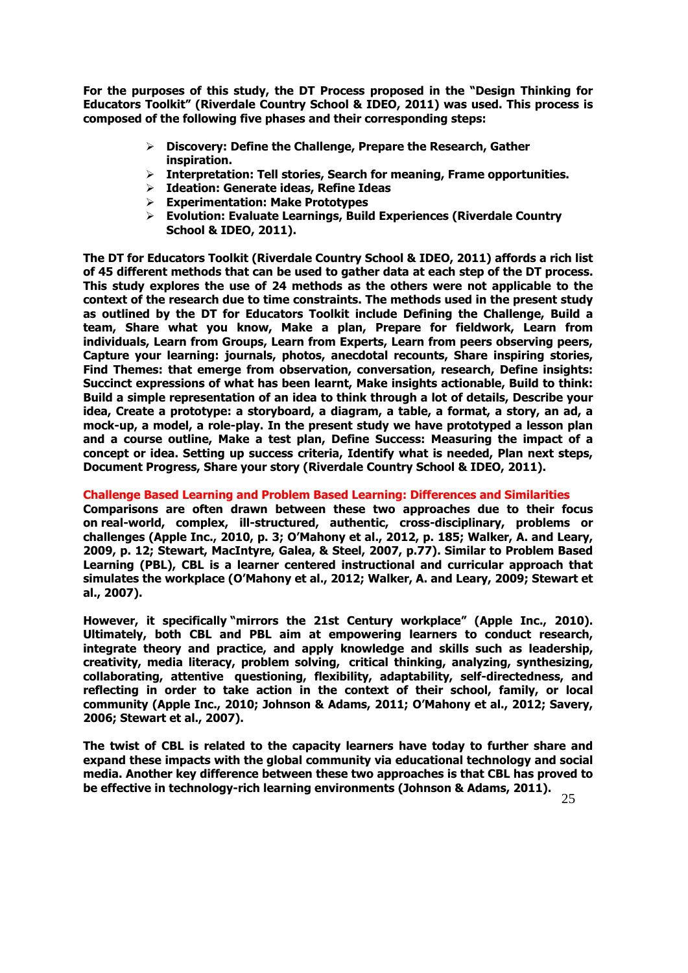**For the purposes of this study, the DT Process proposed in the "Design Thinking for Educators Toolkit" (Riverdale Country School & IDEO, 2011) was used. This process is composed of the following five phases and their corresponding steps:**

- **Discovery: Define the Challenge, Prepare the Research, Gather inspiration.**
- **Interpretation: Tell stories, Search for meaning, Frame opportunities.**
- **Ideation: Generate ideas, Refine Ideas**
- **Experimentation: Make Prototypes**
- **Evolution: Evaluate Learnings, Build Experiences (Riverdale Country School & IDEO, 2011).**

**The DT for Educators Toolkit (Riverdale Country School & IDEO, 2011) affords a rich list of 45 different methods that can be used to gather data at each step of the DT process. This study explores the use of 24 methods as the others were not applicable to the context of the research due to time constraints. The methods used in the present study as outlined by the DT for Educators Toolkit include Defining the Challenge, Build a team, Share what you know, Make a plan, Prepare for fieldwork, Learn from individuals, Learn from Groups, Learn from Experts, Learn from peers observing peers, Capture your learning: journals, photos, anecdotal recounts, Share inspiring stories, Find Themes: that emerge from observation, conversation, research, Define insights: Succinct expressions of what has been learnt, Make insights actionable, Build to think: Build a simple representation of an idea to think through a lot of details, Describe your idea, Create a prototype: a storyboard, a diagram, a table, a format, a story, an ad, a mock-up, a model, a role-play. In the present study we have prototyped a lesson plan and a course outline, Make a test plan, Define Success: Measuring the impact of a concept or idea. Setting up success criteria, Identify what is needed, Plan next steps, Document Progress, Share your story (Riverdale Country School & IDEO, 2011).**

# **Challenge Based Learning and Problem Based Learning: Differences and Similarities**

**Comparisons are often drawn between these two approaches due to their focus on real-world, complex, ill-structured, authentic, cross-disciplinary, problems or challenges (Apple Inc., 2010, p. 3; O'Mahony et al., 2012, p. 185; Walker, A. and Leary, 2009, p. 12; Stewart, MacIntyre, Galea, & Steel, 2007, p.77). Similar to Problem Based Learning (PBL), CBL is a learner centered instructional and curricular approach that simulates the workplace (O'Mahony et al., 2012; Walker, A. and Leary, 2009; Stewart et al., 2007).** 

**However, it specifically "mirrors the 21st Century workplace" (Apple Inc., 2010). Ultimately, both CBL and PBL aim at empowering learners to conduct research, integrate theory and practice, and apply knowledge and skills such as leadership, creativity, media literacy, problem solving, critical thinking, analyzing, synthesizing, collaborating, attentive questioning, flexibility, adaptability, self-directedness, and reflecting in order to take action in the context of their school, family, or local community (Apple Inc., 2010; Johnson & Adams, 2011; O'Mahony et al., 2012; Savery, 2006; Stewart et al., 2007).** 

**The twist of CBL is related to the capacity learners have today to further share and expand these impacts with the global community via educational technology and social media. Another key difference between these two approaches is that CBL has proved to be effective in technology-rich learning environments (Johnson & Adams, 2011).**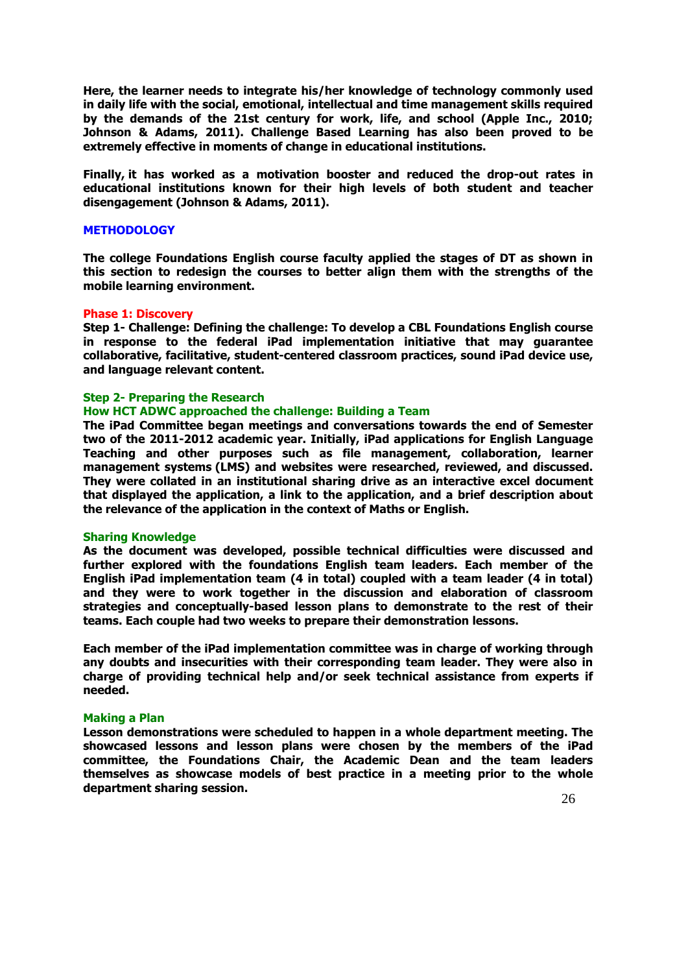**Here, the learner needs to integrate his/her knowledge of technology commonly used in daily life with the social, emotional, intellectual and time management skills required by the demands of the 21st century for work, life, and school (Apple Inc., 2010; Johnson & Adams, 2011). Challenge Based Learning has also been proved to be extremely effective in moments of change in educational institutions.** 

**Finally, it has worked as a motivation booster and reduced the drop-out rates in educational institutions known for their high levels of both student and teacher disengagement (Johnson & Adams, 2011).**

## **METHODOLOGY**

**The college Foundations English course faculty applied the stages of DT as shown in this section to redesign the courses to better align them with the strengths of the mobile learning environment.**

## **Phase 1: Discovery**

**Step 1- Challenge: Defining the challenge: To develop a CBL Foundations English course in response to the federal iPad implementation initiative that may guarantee collaborative, facilitative, student-centered classroom practices, sound iPad device use, and language relevant content.**

## **Step 2- Preparing the Research**

# **How HCT ADWC approached the challenge: Building a Team**

**The iPad Committee began meetings and conversations towards the end of Semester two of the 2011-2012 academic year. Initially, iPad applications for English Language Teaching and other purposes such as file management, collaboration, learner management systems (LMS) and websites were researched, reviewed, and discussed. They were collated in an institutional sharing drive as an interactive excel document that displayed the application, a link to the application, and a brief description about the relevance of the application in the context of Maths or English.**

## **Sharing Knowledge**

**As the document was developed, possible technical difficulties were discussed and further explored with the foundations English team leaders. Each member of the English iPad implementation team (4 in total) coupled with a team leader (4 in total) and they were to work together in the discussion and elaboration of classroom strategies and conceptually-based lesson plans to demonstrate to the rest of their teams. Each couple had two weeks to prepare their demonstration lessons.** 

**Each member of the iPad implementation committee was in charge of working through any doubts and insecurities with their corresponding team leader. They were also in charge of providing technical help and/or seek technical assistance from experts if needed.**

## **Making a Plan**

**Lesson demonstrations were scheduled to happen in a whole department meeting. The showcased lessons and lesson plans were chosen by the members of the iPad committee, the Foundations Chair, the Academic Dean and the team leaders themselves as showcase models of best practice in a meeting prior to the whole department sharing session.**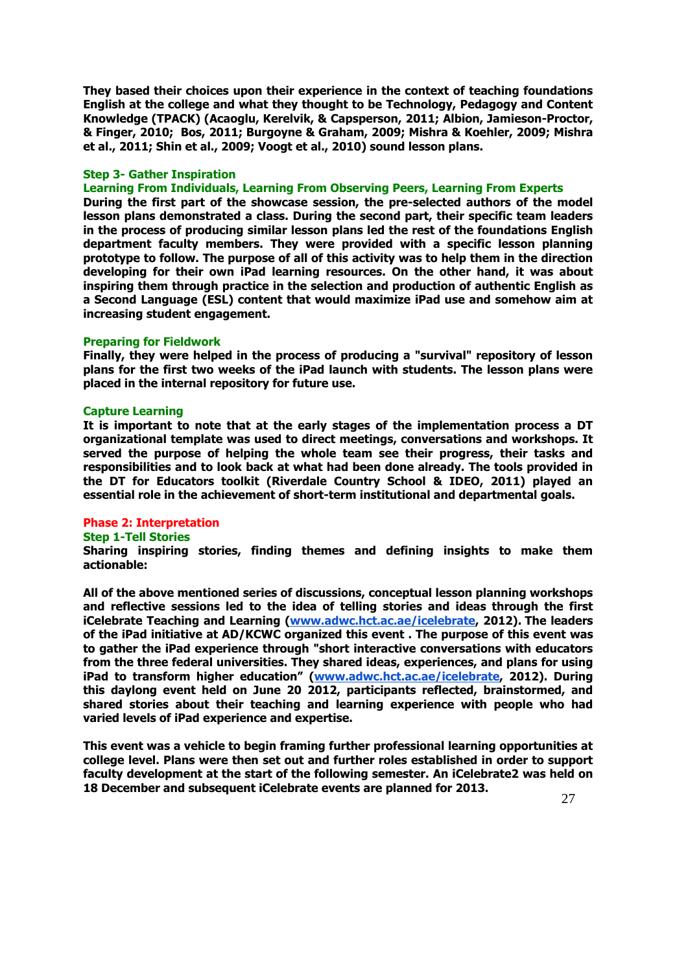**They based their choices upon their experience in the context of teaching foundations English at the college and what they thought to be Technology, Pedagogy and Content Knowledge (TPACK) (Acaoglu, Kerelvik, & Capsperson, 2011; Albion, Jamieson-Proctor, & Finger, 2010; Bos, 2011; Burgoyne & Graham, 2009; Mishra & Koehler, 2009; Mishra et al., 2011; Shin et al., 2009; Voogt et al., 2010) sound lesson plans.**

# **Step 3- Gather Inspiration**

**Learning From Individuals, Learning From Observing Peers, Learning From Experts**

**During the first part of the showcase session, the pre-selected authors of the model lesson plans demonstrated a class. During the second part, their specific team leaders in the process of producing similar lesson plans led the rest of the foundations English department faculty members. They were provided with a specific lesson planning prototype to follow. The purpose of all of this activity was to help them in the direction developing for their own iPad learning resources. On the other hand, it was about inspiring them through practice in the selection and production of authentic English as a Second Language (ESL) content that would maximize iPad use and somehow aim at increasing student engagement.**

#### **Preparing for Fieldwork**

**Finally, they were helped in the process of producing a "survival" repository of lesson plans for the first two weeks of the iPad launch with students. The lesson plans were placed in the internal repository for future use.** 

## **Capture Learning**

**It is important to note that at the early stages of the implementation process a DT organizational template was used to direct meetings, conversations and workshops. It served the purpose of helping the whole team see their progress, their tasks and responsibilities and to look back at what had been done already. The tools provided in the DT for Educators toolkit (Riverdale Country School & IDEO, 2011) played an essential role in the achievement of short-term institutional and departmental goals.**

## **Phase 2: Interpretation**

# **Step 1-Tell Stories**

**Sharing inspiring stories, finding themes and defining insights to make them actionable:**

**All of the above mentioned series of discussions, conceptual lesson planning workshops and reflective sessions led to the idea of telling stories and ideas through the first iCelebrate Teaching and Learning [\(www.adwc.hct.ac.ae/icelebrate,](http://www.adwc.hct.ac.ae/icelebrate) 2012). The leaders of the iPad initiative at AD/KCWC organized this event . The purpose of this event was to gather the iPad experience through "short interactive conversations with educators from the three federal universities. They shared ideas, experiences, and plans for using iPad to transform higher education" ([www.adwc.hct.ac.ae/icelebrate,](http://www.adwc.hct.ac.ae/icelebrate) 2012). During this daylong event held on June 20 2012, participants reflected, brainstormed, and shared stories about their teaching and learning experience with people who had varied levels of iPad experience and expertise.** 

**This event was a vehicle to begin framing further professional learning opportunities at college level. Plans were then set out and further roles established in order to support faculty development at the start of the following semester. An iCelebrate2 was held on 18 December and subsequent iCelebrate events are planned for 2013.**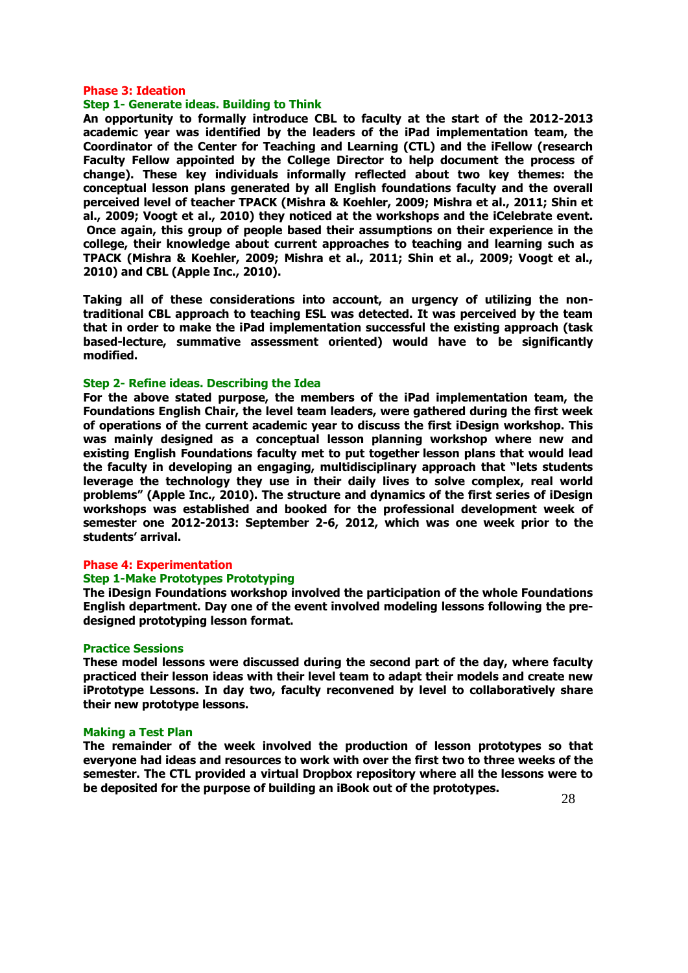## **Phase 3: Ideation**

# **Step 1- Generate ideas. Building to Think**

**An opportunity to formally introduce CBL to faculty at the start of the 2012-2013 academic year was identified by the leaders of the iPad implementation team, the Coordinator of the Center for Teaching and Learning (CTL) and the iFellow (research Faculty Fellow appointed by the College Director to help document the process of change). These key individuals informally reflected about two key themes: the conceptual lesson plans generated by all English foundations faculty and the overall perceived level of teacher TPACK (Mishra & Koehler, 2009; Mishra et al., 2011; Shin et al., 2009; Voogt et al., 2010) they noticed at the workshops and the iCelebrate event. Once again, this group of people based their assumptions on their experience in the college, their knowledge about current approaches to teaching and learning such as TPACK (Mishra & Koehler, 2009; Mishra et al., 2011; Shin et al., 2009; Voogt et al., 2010) and CBL (Apple Inc., 2010).**

**Taking all of these considerations into account, an urgency of utilizing the nontraditional CBL approach to teaching ESL was detected. It was perceived by the team that in order to make the iPad implementation successful the existing approach (task based-lecture, summative assessment oriented) would have to be significantly modified.**

## **Step 2- Refine ideas. Describing the Idea**

**For the above stated purpose, the members of the iPad implementation team, the Foundations English Chair, the level team leaders, were gathered during the first week of operations of the current academic year to discuss the first iDesign workshop. This was mainly designed as a conceptual lesson planning workshop where new and existing English Foundations faculty met to put together lesson plans that would lead the faculty in developing an engaging, multidisciplinary approach that "lets students leverage the technology they use in their daily lives to solve complex, real world problems" (Apple Inc., 2010). The structure and dynamics of the first series of iDesign workshops was established and booked for the professional development week of semester one 2012-2013: September 2-6, 2012, which was one week prior to the students' arrival.**

# **Phase 4: Experimentation**

#### **Step 1-Make Prototypes Prototyping**

**The iDesign Foundations workshop involved the participation of the whole Foundations English department. Day one of the event involved modeling lessons following the predesigned prototyping lesson format.**

#### **Practice Sessions**

**These model lessons were discussed during the second part of the day, where faculty practiced their lesson ideas with their level team to adapt their models and create new iPrototype Lessons. In day two, faculty reconvened by level to collaboratively share their new prototype lessons.**

## **Making a Test Plan**

**The remainder of the week involved the production of lesson prototypes so that everyone had ideas and resources to work with over the first two to three weeks of the semester. The CTL provided a virtual Dropbox repository where all the lessons were to be deposited for the purpose of building an iBook out of the prototypes.**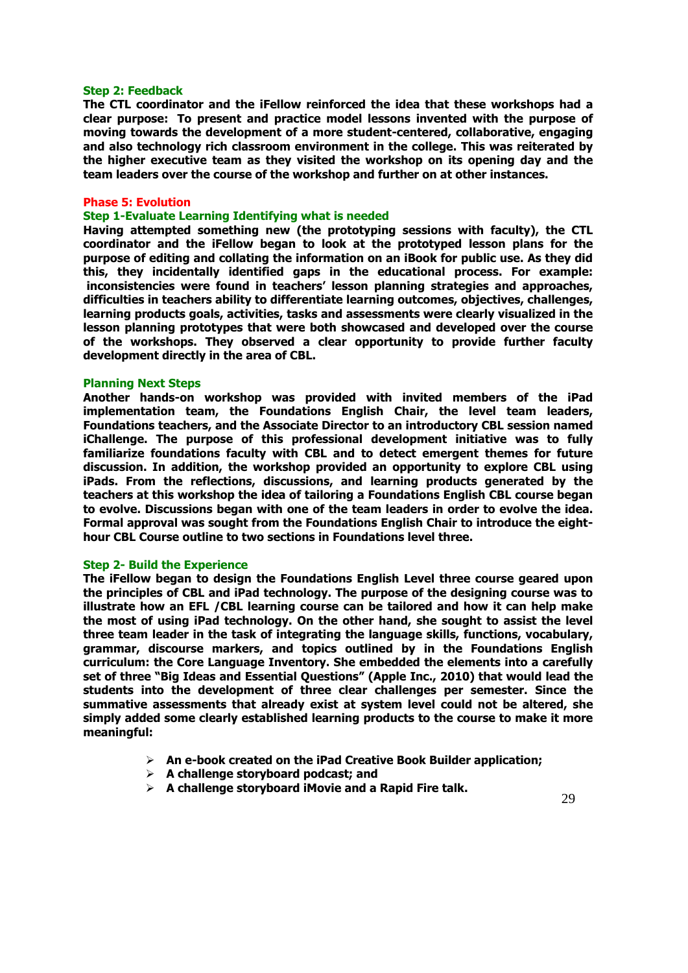## **Step 2: Feedback**

**The CTL coordinator and the iFellow reinforced the idea that these workshops had a clear purpose: To present and practice model lessons invented with the purpose of moving towards the development of a more student-centered, collaborative, engaging and also technology rich classroom environment in the college. This was reiterated by the higher executive team as they visited the workshop on its opening day and the team leaders over the course of the workshop and further on at other instances.**

## **Phase 5: Evolution**

## **Step 1-Evaluate Learning Identifying what is needed**

**Having attempted something new (the prototyping sessions with faculty), the CTL coordinator and the iFellow began to look at the prototyped lesson plans for the purpose of editing and collating the information on an iBook for public use. As they did this, they incidentally identified gaps in the educational process. For example: inconsistencies were found in teachers' lesson planning strategies and approaches, difficulties in teachers ability to differentiate learning outcomes, objectives, challenges, learning products goals, activities, tasks and assessments were clearly visualized in the lesson planning prototypes that were both showcased and developed over the course of the workshops. They observed a clear opportunity to provide further faculty development directly in the area of CBL.**

## **Planning Next Steps**

**Another hands-on workshop was provided with invited members of the iPad implementation team, the Foundations English Chair, the level team leaders, Foundations teachers, and the Associate Director to an introductory CBL session named iChallenge. The purpose of this professional development initiative was to fully familiarize foundations faculty with CBL and to detect emergent themes for future discussion. In addition, the workshop provided an opportunity to explore CBL using iPads. From the reflections, discussions, and learning products generated by the teachers at this workshop the idea of tailoring a Foundations English CBL course began to evolve. Discussions began with one of the team leaders in order to evolve the idea. Formal approval was sought from the Foundations English Chair to introduce the eighthour CBL Course outline to two sections in Foundations level three.**

#### **Step 2- Build the Experience**

**The iFellow began to design the Foundations English Level three course geared upon the principles of CBL and iPad technology. The purpose of the designing course was to illustrate how an EFL /CBL learning course can be tailored and how it can help make the most of using iPad technology. On the other hand, she sought to assist the level three team leader in the task of integrating the language skills, functions, vocabulary, grammar, discourse markers, and topics outlined by in the Foundations English curriculum: the Core Language Inventory. She embedded the elements into a carefully set of three "Big Ideas and Essential Questions" (Apple Inc., 2010) that would lead the students into the development of three clear challenges per semester. Since the summative assessments that already exist at system level could not be altered, she simply added some clearly established learning products to the course to make it more meaningful:**

- **An e-book created on the iPad Creative Book Builder application;**
- **A challenge storyboard podcast; and**
- **A challenge storyboard iMovie and a Rapid Fire talk.**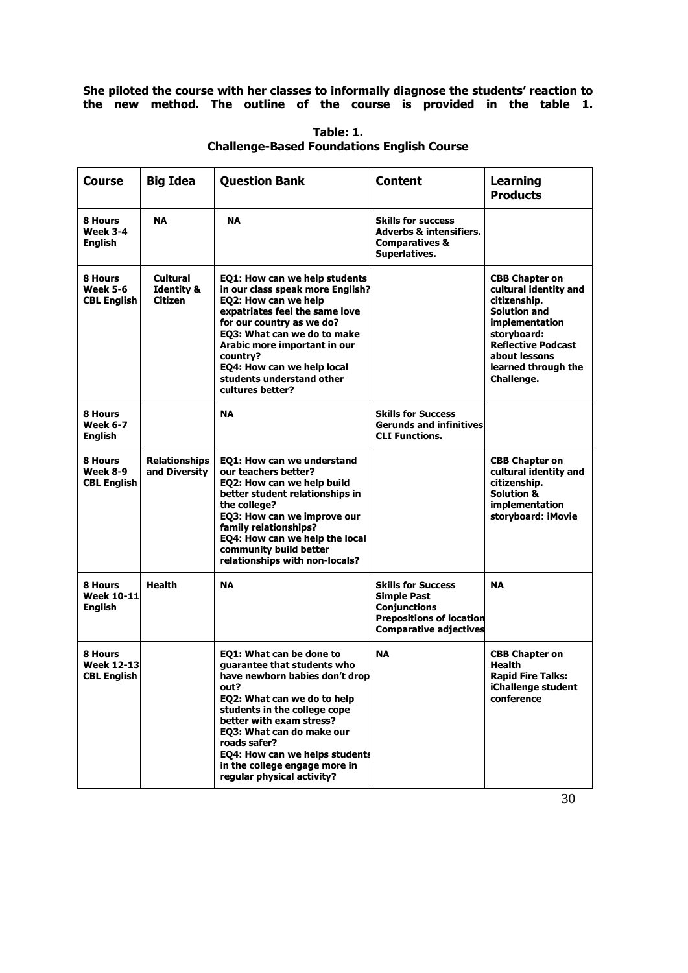**She piloted the course with her classes to informally diagnose the students' reaction to the new method. The outline of the course is provided in the table 1.**

| Course                                             | <b>Big Idea</b>                              | <b>Question Bank</b>                                                                                                                                                                                                                                                                                                                       | <b>Content</b>                                                                                                                             | <b>Learning</b><br><b>Products</b>                                                                                                                                                                        |
|----------------------------------------------------|----------------------------------------------|--------------------------------------------------------------------------------------------------------------------------------------------------------------------------------------------------------------------------------------------------------------------------------------------------------------------------------------------|--------------------------------------------------------------------------------------------------------------------------------------------|-----------------------------------------------------------------------------------------------------------------------------------------------------------------------------------------------------------|
| 8 Hours<br><b>Week 3-4</b><br><b>English</b>       | <b>NA</b>                                    | <b>NA</b>                                                                                                                                                                                                                                                                                                                                  | <b>Skills for success</b><br><b>Adverbs &amp; intensifiers.</b><br><b>Comparatives &amp;</b><br>Superlatives.                              |                                                                                                                                                                                                           |
| 8 Hours<br><b>Week 5-6</b><br><b>CBL English</b>   | Cultural<br><b>Identity &amp;</b><br>Citizen | EQ1: How can we help students<br>in our class speak more English?<br>EQ2: How can we help<br>expatriates feel the same love<br>for our country as we do?<br>EQ3: What can we do to make<br>Arabic more important in our<br>country?<br>EQ4: How can we help local<br>students understand other<br>cultures better?                         |                                                                                                                                            | <b>CBB Chapter on</b><br>cultural identity and<br>citizenship.<br><b>Solution and</b><br>implementation<br>storyboard:<br><b>Reflective Podcast</b><br>about lessons<br>learned through the<br>Challenge. |
| 8 Hours<br><b>Week 6-7</b><br><b>English</b>       |                                              | <b>NA</b>                                                                                                                                                                                                                                                                                                                                  | <b>Skills for Success</b><br><b>Gerunds and infinitives</b><br><b>CLI Functions.</b>                                                       |                                                                                                                                                                                                           |
| 8 Hours<br><b>Week 8-9</b><br><b>CBL English</b>   | <b>Relationships</b><br>and Diversity        | EQ1: How can we understand<br>our teachers better?<br>EQ2: How can we help build<br>better student relationships in<br>the college?<br>EQ3: How can we improve our<br>family relationships?<br>EQ4: How can we help the local<br>community build better<br>relationships with non-locals?                                                  |                                                                                                                                            | <b>CBB Chapter on</b><br>cultural identity and<br>citizenship.<br><b>Solution &amp;</b><br>implementation<br>storyboard: iMovie                                                                           |
| 8 Hours<br><b>Week 10-11</b><br><b>English</b>     | <b>Health</b>                                | <b>NA</b>                                                                                                                                                                                                                                                                                                                                  | <b>Skills for Success</b><br><b>Simple Past</b><br><b>Conjunctions</b><br><b>Prepositions of location</b><br><b>Comparative adjectives</b> | <b>NA</b>                                                                                                                                                                                                 |
| 8 Hours<br><b>Week 12-13</b><br><b>CBL English</b> |                                              | EQ1: What can be done to<br>quarantee that students who<br>have newborn babies don't drop<br>out?<br>EQ2: What can we do to help<br>students in the college cope<br>better with exam stress?<br>EQ3: What can do make our<br>roads safer?<br>EQ4: How can we helps students<br>in the college engage more in<br>regular physical activity? | <b>NA</b>                                                                                                                                  | <b>CBB Chapter on</b><br><b>Health</b><br><b>Rapid Fire Talks:</b><br>iChallenge student<br>conference                                                                                                    |

**Table: 1. Challenge-Based Foundations English Course**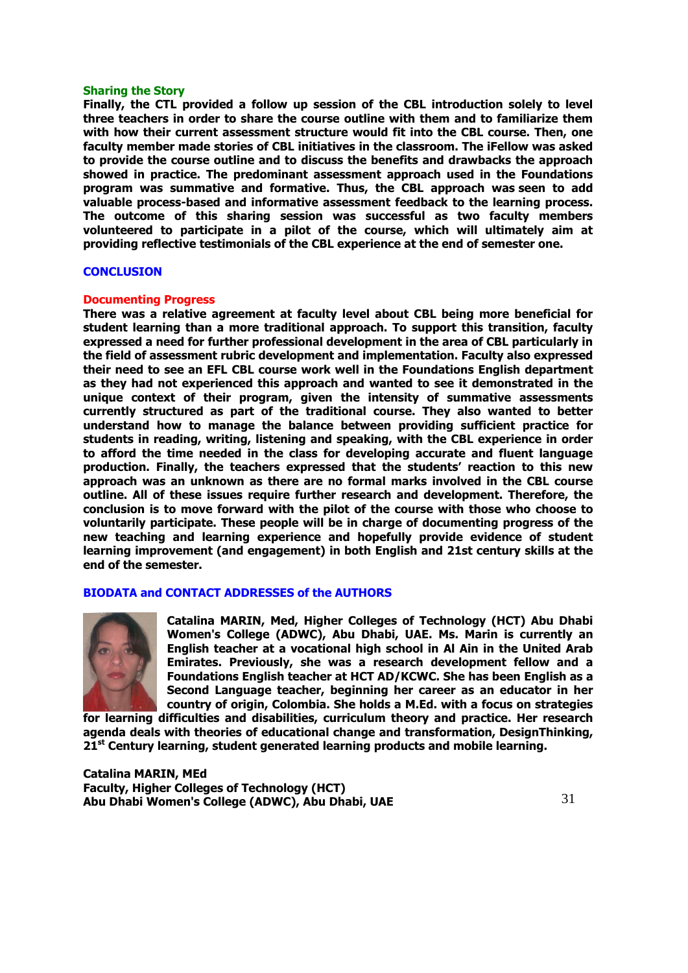## **Sharing the Story**

**Finally, the CTL provided a follow up session of the CBL introduction solely to level three teachers in order to share the course outline with them and to familiarize them with how their current assessment structure would fit into the CBL course. Then, one faculty member made stories of CBL initiatives in the classroom. The iFellow was asked to provide the course outline and to discuss the benefits and drawbacks the approach showed in practice. The predominant assessment approach used in the Foundations program was summative and formative. Thus, the CBL approach was seen to add valuable process-based and informative assessment feedback to the learning process. The outcome of this sharing session was successful as two faculty members volunteered to participate in a pilot of the course, which will ultimately aim at providing reflective testimonials of the CBL experience at the end of semester one.**

# **CONCLUSION**

## **Documenting Progress**

**There was a relative agreement at faculty level about CBL being more beneficial for student learning than a more traditional approach. To support this transition, faculty expressed a need for further professional development in the area of CBL particularly in the field of assessment rubric development and implementation. Faculty also expressed their need to see an EFL CBL course work well in the Foundations English department as they had not experienced this approach and wanted to see it demonstrated in the unique context of their program, given the intensity of summative assessments currently structured as part of the traditional course. They also wanted to better understand how to manage the balance between providing sufficient practice for students in reading, writing, listening and speaking, with the CBL experience in order to afford the time needed in the class for developing accurate and fluent language production. Finally, the teachers expressed that the students' reaction to this new approach was an unknown as there are no formal marks involved in the CBL course outline. All of these issues require further research and development. Therefore, the conclusion is to move forward with the pilot of the course with those who choose to voluntarily participate. These people will be in charge of documenting progress of the new teaching and learning experience and hopefully provide evidence of student learning improvement (and engagement) in both English and 21st century skills at the end of the semester.**

# **BIODATA and CONTACT ADDRESSES of the AUTHORS**



**Catalina MARIN, Med, Higher Colleges of Technology (HCT) Abu Dhabi Women's College (ADWC), Abu Dhabi, UAE. Ms. Marin is currently an English teacher at a vocational high school in Al Ain in the United Arab Emirates. Previously, she was a research development fellow and a Foundations English teacher at HCT AD/KCWC. She has been English as a Second Language teacher, beginning her career as an educator in her country of origin, Colombia. She holds a M.Ed. with a focus on strategies** 

**for learning difficulties and disabilities, curriculum theory and practice. Her research agenda deals with theories of educational change and transformation, DesignThinking, 21st Century learning, student generated learning products and mobile learning.**

**Catalina MARIN, MEd Faculty, Higher Colleges of Technology (HCT) Abu Dhabi Women's College (ADWC), Abu Dhabi, UAE**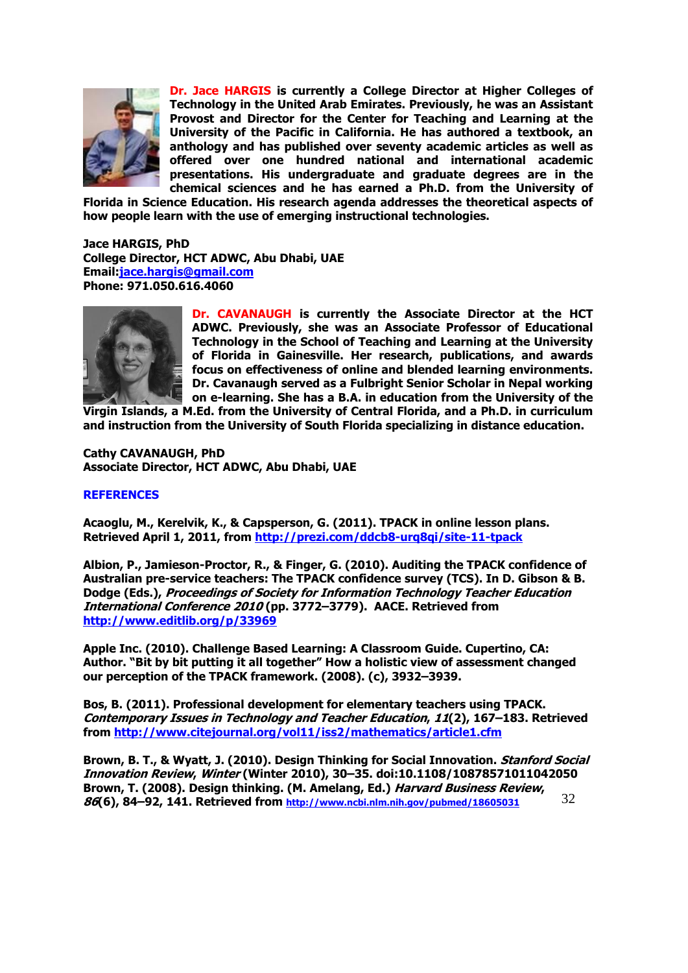

**Dr. Jace HARGIS is currently a College Director at Higher Colleges of Technology in the United Arab Emirates. Previously, he was an Assistant Provost and Director for the Center for Teaching and Learning at the University of the Pacific in California. He has authored a textbook, an anthology and has published over seventy academic articles as well as offered over one hundred national and international academic presentations. His undergraduate and graduate degrees are in the chemical sciences and he has earned a Ph.D. from the University of** 

**Florida in Science Education. His research agenda addresses the theoretical aspects of how people learn with the use of emerging instructional technologies.**

**Jace HARGIS, PhD College Director, HCT ADWC, Abu Dhabi, UAE Email[:jace.hargis@gmail.com](mailto:jace.hargis@gmail.com) Phone: 971.050.616.4060**



**Dr. CAVANAUGH is currently the Associate Director at the HCT ADWC. Previously, she was an Associate Professor of Educational Technology in the School of Teaching and Learning at the University of Florida in Gainesville. Her research, publications, and awards focus on effectiveness of online and blended learning environments. Dr. Cavanaugh served as a Fulbright Senior Scholar in Nepal working on e-learning. She has a B.A. in education from the University of the** 

**Virgin Islands, a M.Ed. from the University of Central Florida, and a Ph.D. in curriculum and instruction from the University of South Florida specializing in distance education.**

**Cathy CAVANAUGH, PhD Associate Director, HCT ADWC, Abu Dhabi, UAE**

# **REFERENCES**

**Acaoglu, M., Kerelvik, K., & Capsperson, G. (2011). TPACK in online lesson plans. Retrieved April 1, 2011, from<http://prezi.com/ddcb8-urq8qi/site-11-tpack>**

**Albion, P., Jamieson-Proctor, R., & Finger, G. (2010). Auditing the TPACK confidence of Australian pre-service teachers: The TPACK confidence survey (TCS). In D. Gibson & B. Dodge (Eds.), Proceedings of Society for Information Technology Teacher Education International Conference 2010 (pp. 3772–3779). AACE. Retrieved from <http://www.editlib.org/p/33969>**

**Apple Inc. (2010). Challenge Based Learning: A Classroom Guide. Cupertino, CA: Author. "Bit by bit putting it all together" How a holistic view of assessment changed our perception of the TPACK framework. (2008). (c), 3932–3939.**

**Bos, B. (2011). Professional development for elementary teachers using TPACK. Contemporary Issues in Technology and Teacher Education, 11(2), 167–183. Retrieved from<http://www.citejournal.org/vol11/iss2/mathematics/article1.cfm>**

32 **Brown, B. T., & Wyatt, J. (2010). Design Thinking for Social Innovation. Stanford Social Innovation Review, Winter (Winter 2010), 30–35. doi:10.1108/10878571011042050 Brown, T. (2008). Design thinking. (M. Amelang, Ed.) Harvard Business Review, 86(6), 84–92, 141. Retrieved from <http://www.ncbi.nlm.nih.gov/pubmed/18605031>**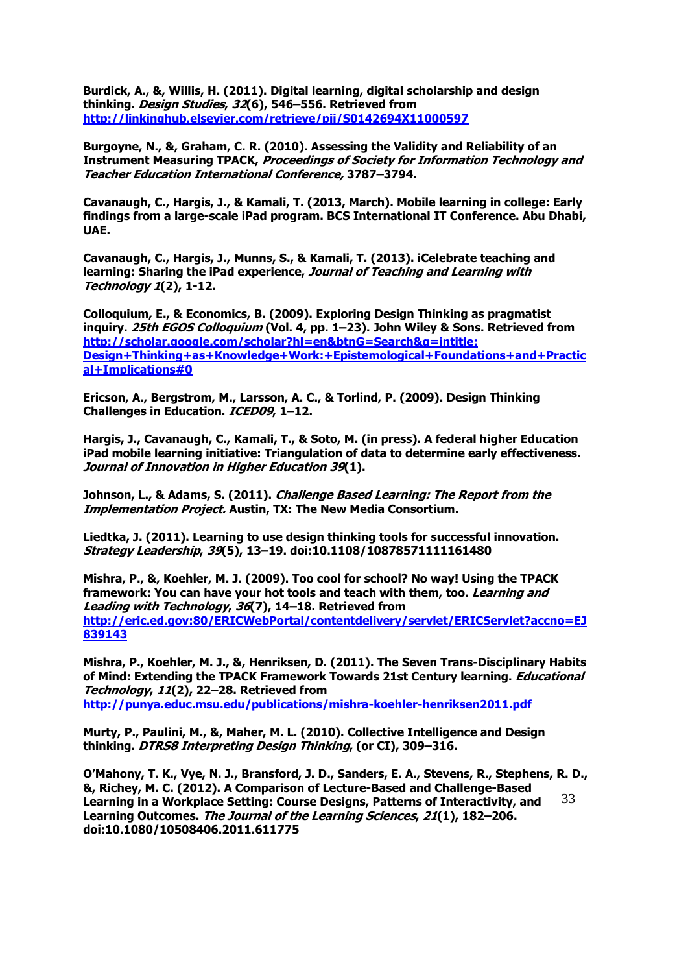**Burdick, A., &, Willis, H. (2011). Digital learning, digital scholarship and design thinking. Design Studies, 32(6), 546–556. Retrieved from <http://linkinghub.elsevier.com/retrieve/pii/S0142694X11000597>**

**Burgoyne, N., &, Graham, C. R. (2010). Assessing the Validity and Reliability of an Instrument Measuring TPACK, Proceedings of Society for Information Technology and Teacher Education International Conference, 3787–3794.**

**Cavanaugh, C., Hargis, J., & Kamali, T. (2013, March). Mobile learning in college: Early findings from a large-scale iPad program. BCS International IT Conference. Abu Dhabi, UAE.** 

**Cavanaugh, C., Hargis, J., Munns, S., & Kamali, T. (2013). iCelebrate teaching and learning: Sharing the iPad experience, Journal of Teaching and Learning with Technology 1(2), 1-12.**

**Colloquium, E., & Economics, B. (2009). Exploring Design Thinking as pragmatist inquiry. 25th EGOS Colloquium (Vol. 4, pp. 1–23). John Wiley & Sons. Retrieved from [http://scholar.google.com/scholar?hl=en&btnG=Search&q=intitle:](http://scholar.google.com/scholar?hl=en&btnG=Search&q=intitle:%20Design+Thinking+as+Knowledge+Work:+Epistemological+Foundations+and+Practical+Implications#0)  [Design+Thinking+as+Knowledge+Work:+Epistemological+Foundations+and+Practic](http://scholar.google.com/scholar?hl=en&btnG=Search&q=intitle:%20Design+Thinking+as+Knowledge+Work:+Epistemological+Foundations+and+Practical+Implications#0) [al+Implications#0](http://scholar.google.com/scholar?hl=en&btnG=Search&q=intitle:%20Design+Thinking+as+Knowledge+Work:+Epistemological+Foundations+and+Practical+Implications#0)**

**Ericson, A., Bergstrom, M., Larsson, A. C., & Torlind, P. (2009). Design Thinking Challenges in Education. ICED09, 1–12.**

**Hargis, J., Cavanaugh, C., Kamali, T., & Soto, M. (in press). A federal higher Education iPad mobile learning initiative: Triangulation of data to determine early effectiveness. Journal of Innovation in Higher Education 39(1).** 

**Johnson, L., & Adams, S. (2011). Challenge Based Learning: The Report from the Implementation Project. Austin, TX: The New Media Consortium.**

**Liedtka, J. (2011). Learning to use design thinking tools for successful innovation. Strategy Leadership, 39(5), 13–19. doi:10.1108/10878571111161480**

**Mishra, P., &, Koehler, M. J. (2009). Too cool for school? No way! Using the TPACK framework: You can have your hot tools and teach with them, too. Learning and Leading with Technology, 36(7), 14–18. Retrieved from [http://eric.ed.gov:80/ERICWebPortal/contentdelivery/servlet/ERICServlet?accno=EJ](http://eric.ed.gov/ERICWebPortal/contentdelivery/servlet/ERICServlet?accno=EJ839143) [839143](http://eric.ed.gov/ERICWebPortal/contentdelivery/servlet/ERICServlet?accno=EJ839143)**

**Mishra, P., Koehler, M. J., &, Henriksen, D. (2011). The Seven Trans-Disciplinary Habits of Mind: Extending the TPACK Framework Towards 21st Century learning. Educational Technology, 11(2), 22–28. Retrieved from <http://punya.educ.msu.edu/publications/mishra-koehler-henriksen2011.pdf>**

**Murty, P., Paulini, M., &, Maher, M. L. (2010). Collective Intelligence and Design thinking. DTRS8 Interpreting Design Thinking, (or CI), 309–316.**

33 **O'Mahony, T. K., Vye, N. J., Bransford, J. D., Sanders, E. A., Stevens, R., Stephens, R. D., &, Richey, M. C. (2012). A Comparison of Lecture-Based and Challenge-Based Learning in a Workplace Setting: Course Designs, Patterns of Interactivity, and Learning Outcomes. The Journal of the Learning Sciences, 21(1), 182–206. doi:10.1080/10508406.2011.611775**